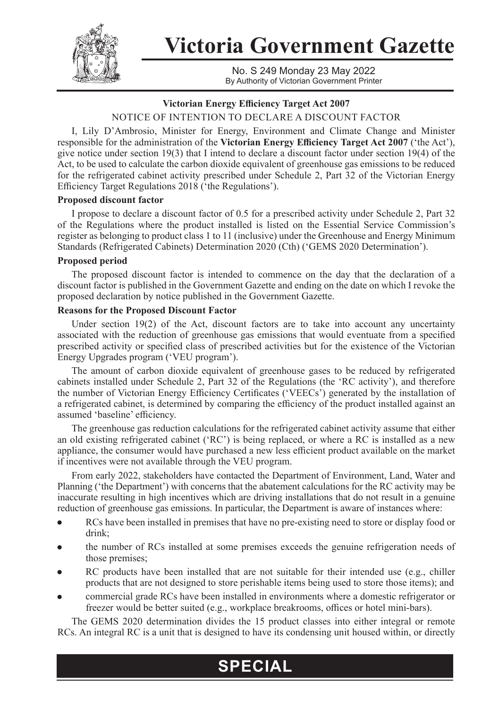

**Victoria Government Gazette**

No. S 249 Monday 23 May 2022 By Authority of Victorian Government Printer

### **Victorian Energy Efficiency Target Act 2007**

NOTICE OF INTENTION TO DECLARE A DISCOUNT FACTOR

I, Lily D'Ambrosio, Minister for Energy, Environment and Climate Change and Minister responsible for the administration of the **Victorian Energy Efficiency Target Act 2007** ('the Act'), give notice under section 19(3) that I intend to declare a discount factor under section 19(4) of the Act, to be used to calculate the carbon dioxide equivalent of greenhouse gas emissions to be reduced for the refrigerated cabinet activity prescribed under Schedule 2, Part 32 of the Victorian Energy Efficiency Target Regulations 2018 ('the Regulations').

### **Proposed discount factor**

I propose to declare a discount factor of 0.5 for a prescribed activity under Schedule 2, Part 32 of the Regulations where the product installed is listed on the Essential Service Commission's register as belonging to product class 1 to 11 (inclusive) under the Greenhouse and Energy Minimum Standards (Refrigerated Cabinets) Determination 2020 (Cth) ('GEMS 2020 Determination').

#### **Proposed period**

The proposed discount factor is intended to commence on the day that the declaration of a discount factor is published in the Government Gazette and ending on the date on which I revoke the proposed declaration by notice published in the Government Gazette.

### **Reasons for the Proposed Discount Factor**

Under section 19(2) of the Act, discount factors are to take into account any uncertainty associated with the reduction of greenhouse gas emissions that would eventuate from a specified prescribed activity or specified class of prescribed activities but for the existence of the Victorian Energy Upgrades program ('VEU program').

The amount of carbon dioxide equivalent of greenhouse gases to be reduced by refrigerated cabinets installed under Schedule 2, Part 32 of the Regulations (the 'RC activity'), and therefore the number of Victorian Energy Efficiency Certificates ('VEECs') generated by the installation of a refrigerated cabinet, is determined by comparing the efficiency of the product installed against an assumed 'baseline' efficiency.

The greenhouse gas reduction calculations for the refrigerated cabinet activity assume that either an old existing refrigerated cabinet ('RC') is being replaced, or where a RC is installed as a new appliance, the consumer would have purchased a new less efficient product available on the market if incentives were not available through the VEU program.

From early 2022, stakeholders have contacted the Department of Environment, Land, Water and Planning ('the Department') with concerns that the abatement calculations for the RC activity may be inaccurate resulting in high incentives which are driving installations that do not result in a genuine reduction of greenhouse gas emissions. In particular, the Department is aware of instances where:

- RCs have been installed in premises that have no pre-existing need to store or display food or drink;
- the number of RCs installed at some premises exceeds the genuine refrigeration needs of those premises;
- RC products have been installed that are not suitable for their intended use (e.g., chiller products that are not designed to store perishable items being used to store those items); and
- commercial grade RCs have been installed in environments where a domestic refrigerator or freezer would be better suited (e.g., workplace breakrooms, offices or hotel mini-bars).

The GEMS 2020 determination divides the 15 product classes into either integral or remote RCs. An integral RC is a unit that is designed to have its condensing unit housed within, or directly

## **SPECIAL**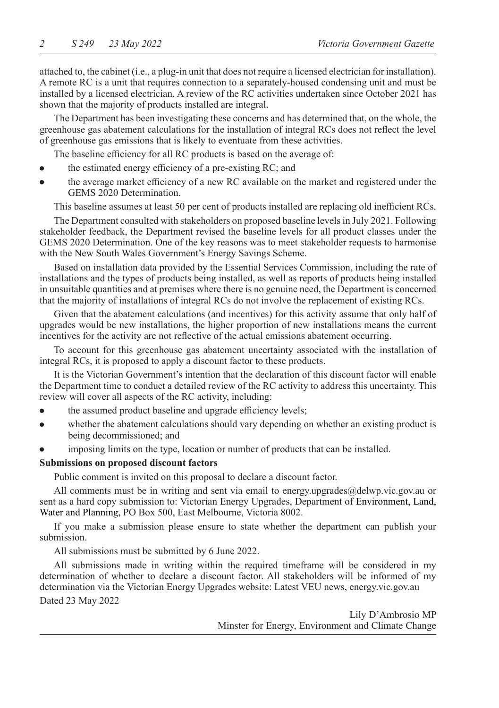attached to, the cabinet (i.e., a plug-in unit that does not require a licensed electrician for installation). A remote RC is a unit that requires connection to a separately-housed condensing unit and must be installed by a licensed electrician. A review of the RC activities undertaken since October 2021 has shown that the majority of products installed are integral.

The Department has been investigating these concerns and has determined that, on the whole, the greenhouse gas abatement calculations for the installation of integral RCs does not reflect the level of greenhouse gas emissions that is likely to eventuate from these activities.

The baseline efficiency for all RC products is based on the average of:

- the estimated energy efficiency of a pre-existing RC; and
- the average market efficiency of a new RC available on the market and registered under the GEMS 2020 Determination.

This baseline assumes at least 50 per cent of products installed are replacing old inefficient RCs.

The Department consulted with stakeholders on proposed baseline levels in July 2021. Following stakeholder feedback, the Department revised the baseline levels for all product classes under the GEMS 2020 Determination. One of the key reasons was to meet stakeholder requests to harmonise with the New South Wales Government's Energy Savings Scheme.

Based on installation data provided by the Essential Services Commission, including the rate of installations and the types of products being installed, as well as reports of products being installed in unsuitable quantities and at premises where there is no genuine need, the Department is concerned that the majority of installations of integral RCs do not involve the replacement of existing RCs.

Given that the abatement calculations (and incentives) for this activity assume that only half of upgrades would be new installations, the higher proportion of new installations means the current incentives for the activity are not reflective of the actual emissions abatement occurring.

To account for this greenhouse gas abatement uncertainty associated with the installation of integral RCs, it is proposed to apply a discount factor to these products.

It is the Victorian Government's intention that the declaration of this discount factor will enable the Department time to conduct a detailed review of the RC activity to address this uncertainty. This review will cover all aspects of the RC activity, including:

- the assumed product baseline and upgrade efficiency levels;
- whether the abatement calculations should vary depending on whether an existing product is being decommissioned; and
- imposing limits on the type, location or number of products that can be installed.

#### **Submissions on proposed discount factors**

Public comment is invited on this proposal to declare a discount factor.

All comments must be in writing and sent via email to energy.upgrades@delwp.vic.gov.au or sent as a hard copy submission to: Victorian Energy Upgrades, Department of Environment, Land, Water and Planning, PO Box 500, East Melbourne, Victoria 8002.

If you make a submission please ensure to state whether the department can publish your submission.

All submissions must be submitted by 6 June 2022.

All submissions made in writing within the required timeframe will be considered in my determination of whether to declare a discount factor. All stakeholders will be informed of my determination via the Victorian Energy Upgrades website: Latest VEU news, energy.vic.gov.au Dated 23 May 2022

> Lily D'Ambrosio MP Minster for Energy, Environment and Climate Change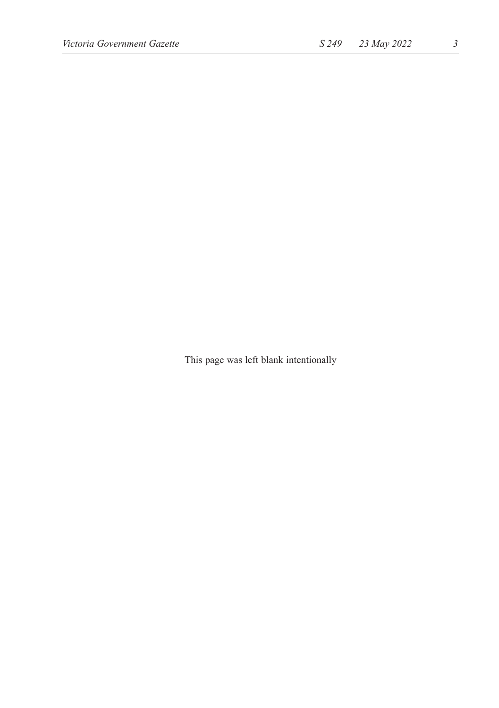This page was left blank intentionally